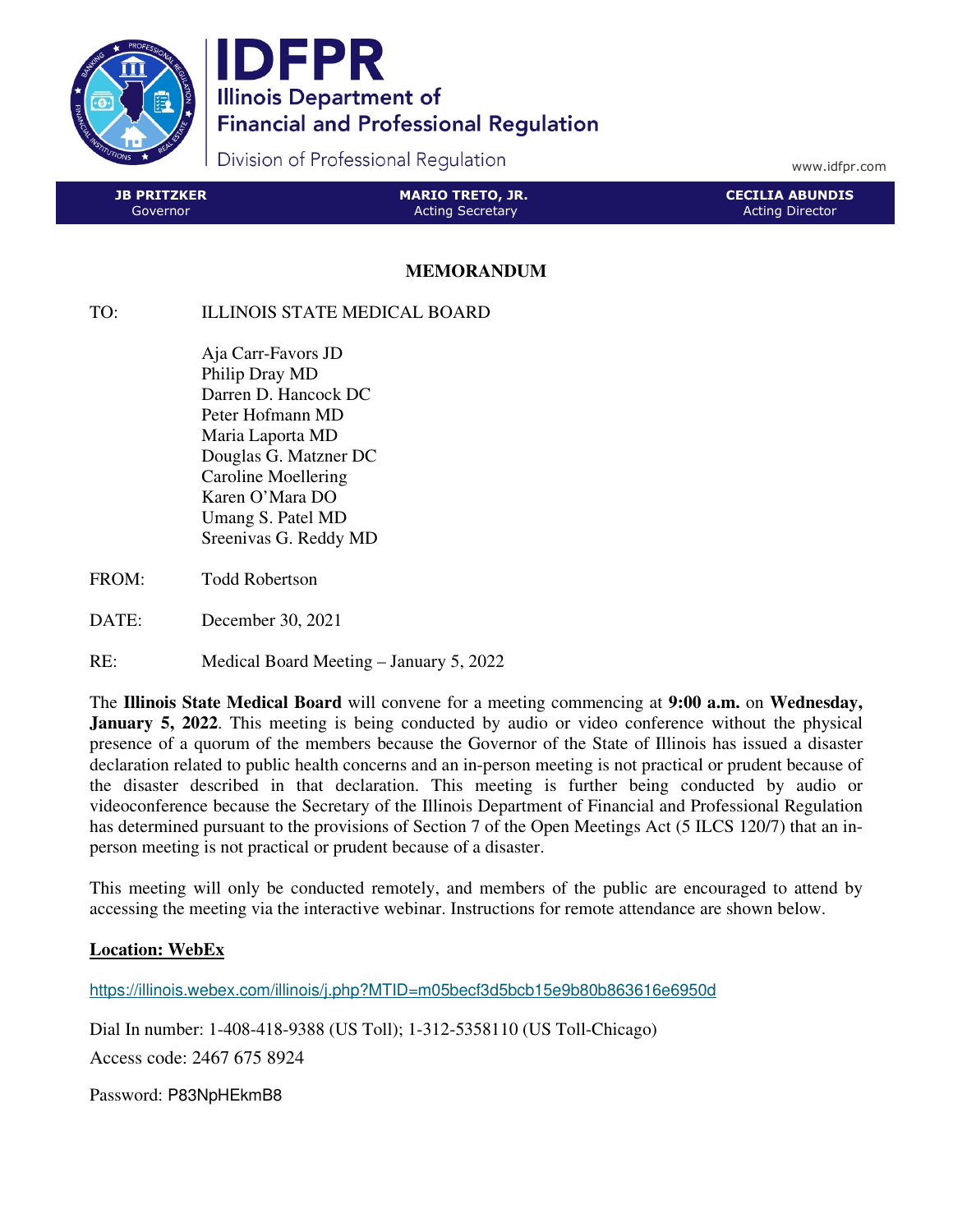

IDFPR **Illinois Department of Financial and Professional Regulation** 

Division of Professional Regulation

www.idfpr.com

| <b>JB PRITZKER</b> | <b>MARIO TRETO, JR.</b> | <b>CECILIA ABUNDIS</b> |
|--------------------|-------------------------|------------------------|
| Governor           | <b>Acting Secretary</b> | <b>Acting Director</b> |
|                    |                         |                        |

## **MEMORANDUM**

## TO: ILLINOIS STATE MEDICAL BOARD

 Aja Carr-Favors JD Philip Dray MD Darren D. Hancock DC Peter Hofmann MD Maria Laporta MD Douglas G. Matzner DC Caroline Moellering Karen O'Mara DO Umang S. Patel MD Sreenivas G. Reddy MD

- FROM: Todd Robertson
- DATE: December 30, 2021
- RE: Medical Board Meeting January 5, 2022

The **Illinois State Medical Board** will convene for a meeting commencing at **9:00 a.m.** on **Wednesday, January 5, 2022**. This meeting is being conducted by audio or video conference without the physical presence of a quorum of the members because the Governor of the State of Illinois has issued a disaster declaration related to public health concerns and an in-person meeting is not practical or prudent because of the disaster described in that declaration. This meeting is further being conducted by audio or videoconference because the Secretary of the Illinois Department of Financial and Professional Regulation has determined pursuant to the provisions of Section 7 of the Open Meetings Act (5 ILCS 120/7) that an inperson meeting is not practical or prudent because of a disaster.

This meeting will only be conducted remotely, and members of the public are encouraged to attend by accessing the meeting via the interactive webinar. Instructions for remote attendance are shown below.

## **Location: WebEx**

https://illinois.webex.com/illinois/j.php?MTID=m05becf3d5bcb15e9b80b863616e6950d

Dial In number: 1-408-418-9388 (US Toll); 1-312-5358110 (US Toll-Chicago)

Access code: 2467 675 8924

Password: P83NpHEkmB8